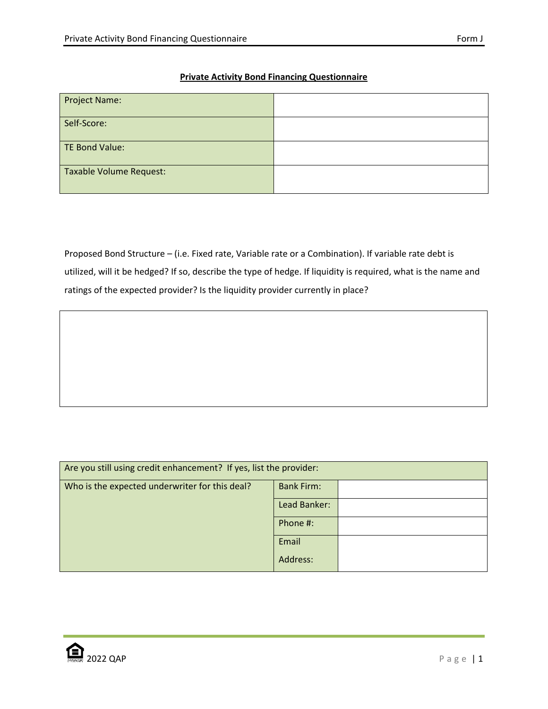## **Private Activity Bond Financing Questionnaire**

| <b>Project Name:</b>    |  |
|-------------------------|--|
| Self-Score:             |  |
| TE Bond Value:          |  |
| Taxable Volume Request: |  |

Proposed Bond Structure – (i.e. Fixed rate, Variable rate or a Combination). If variable rate debt is utilized, will it be hedged? If so, describe the type of hedge. If liquidity is required, what is the name and ratings of the expected provider? Is the liquidity provider currently in place?

| Are you still using credit enhancement? If yes, list the provider: |                   |  |  |
|--------------------------------------------------------------------|-------------------|--|--|
| Who is the expected underwriter for this deal?                     | <b>Bank Firm:</b> |  |  |
|                                                                    | Lead Banker:      |  |  |
|                                                                    | Phone #:          |  |  |
|                                                                    | Email             |  |  |
|                                                                    | Address:          |  |  |

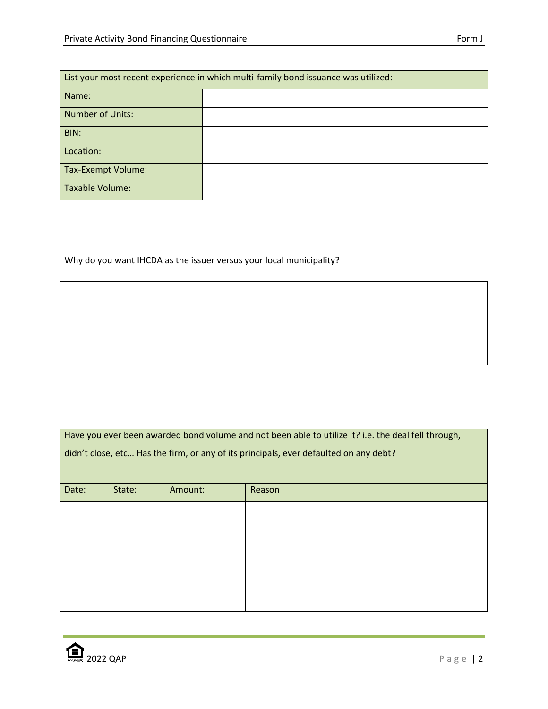| List your most recent experience in which multi-family bond issuance was utilized: |  |  |
|------------------------------------------------------------------------------------|--|--|
| Name:                                                                              |  |  |
| <b>Number of Units:</b>                                                            |  |  |
| BIN:                                                                               |  |  |
| Location:                                                                          |  |  |
| Tax-Exempt Volume:                                                                 |  |  |
| Taxable Volume:                                                                    |  |  |

Why do you want IHCDA as the issuer versus your local municipality?

| Have you ever been awarded bond volume and not been able to utilize it? i.e. the deal fell through, |
|-----------------------------------------------------------------------------------------------------|
| didn't close, etc Has the firm, or any of its principals, ever defaulted on any debt?               |

| Date: | State: | Amount: | Reason |
|-------|--------|---------|--------|
|       |        |         |        |
|       |        |         |        |
|       |        |         |        |
|       |        |         |        |
|       |        |         |        |